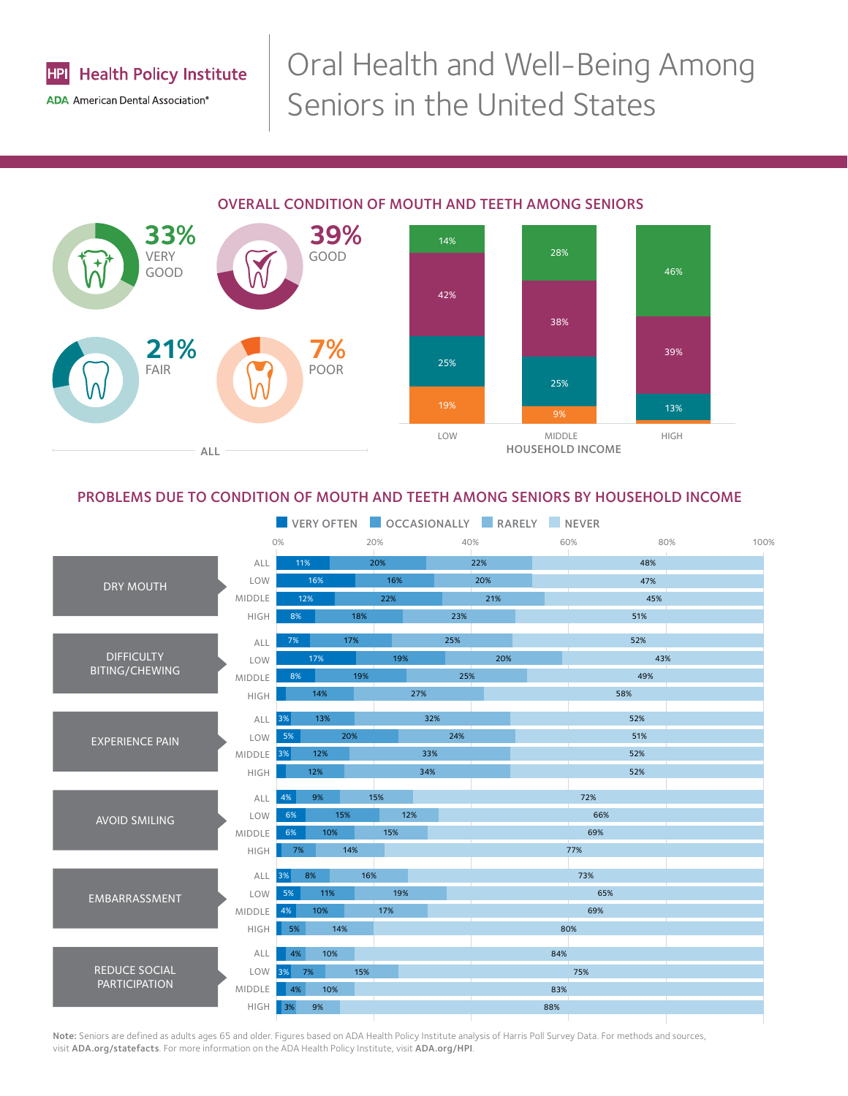

# Oral Health and Well-Being Among Seniors in the United States

# OVERALL CONDITION OF MOUTH AND TEETH AMONG SENIORS



# PROBLEMS DUE TO CONDITION OF MOUTH AND TEETH AMONG SENIORS BY HOUSEHOLD INCOME



Note: Seniors are defined as adults ages 65 and older. Figures based on ADA Health Policy Institute analysis of Harris Poll Survey Data. For methods and sources, visit [ADA.org/statefacts](http://www.ada.org/statefacts). For more information on the ADA Health Policy Institute, visit [ADA.org/HPI](http://www.ada.org/hpi).